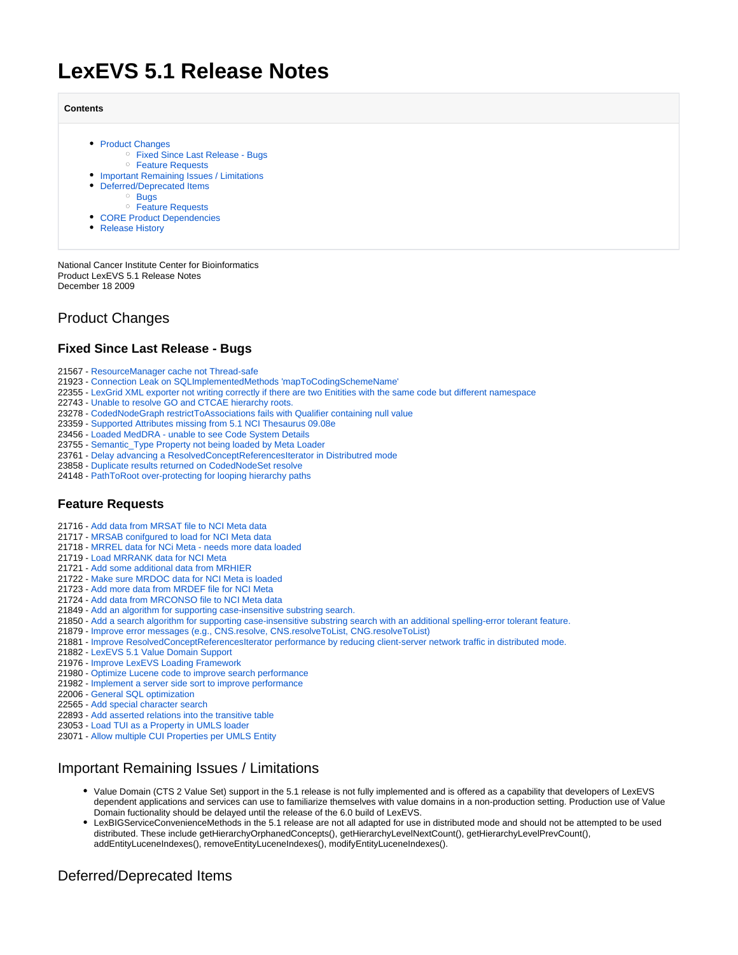# **LexEVS 5.1 Release Notes**

#### **Contents**

- [Product Changes](#page-0-0) [Fixed Since Last Release - Bugs](#page-0-1) [Feature Requests](#page-0-2)
- **[Important Remaining Issues / Limitations](#page-0-3)**
- [Deferred/Deprecated Items](#page-0-4)
	- [Bugs](#page-0-5)
	- [Feature Requests](#page-1-0)
- [CORE Product Dependencies](#page-1-1)
- [Release History](#page-1-2)

National Cancer Institute Center for Bioinformatics Product LexEVS 5.1 Release Notes December 18 2009

# <span id="page-0-0"></span>Product Changes

#### <span id="page-0-1"></span>**Fixed Since Last Release - Bugs**

- 21567 [ResourceManager cache not Thread-safe](http://gforge.nci.nih.gov/tracker/index.php?func=detail&aid=21567&group_id=491&atid=1850)
- 21923 [Connection Leak on SQLImplementedMethods 'mapToCodingSchemeName'](http://gforge.nci.nih.gov/tracker/index.php?func=detail&aid=21923&group_id=491&atid=1850)
- 22355 [LexGrid XML exporter not writing correctly if there are two Enitities with the same code but different namespace](http://gforge.nci.nih.gov/tracker/index.php?func=detail&aid=22355&group_id=491&atid=1850)
- 22743 [Unable to resolve GO and CTCAE hierarchy roots.](http://gforge.nci.nih.gov/tracker/index.php?func=detail&aid=22743&group_id=491&atid=1850)
- 23278 [CodedNodeGraph restrictToAssociations fails with Qualifier containing null value](http://gforge.nci.nih.gov/tracker/index.php?func=detail&aid=23278&group_id=491&atid=1850)
- 23359 [Supported Attributes missing from 5.1 NCI Thesaurus 09.08e](http://gforge.nci.nih.gov/tracker/index.php?func=detail&aid=23359&group_id=491&atid=1850)
- 23456 [Loaded MedDRA unable to see Code System Details](http://gforge.nci.nih.gov/tracker/index.php?func=detail&aid=23456&group_id=491&atid=1850)
- 23755 [Semantic\\_Type Property not being loaded by Meta Loader](http://gforge.nci.nih.gov/tracker/index.php?func=detail&aid=23755&group_id=491&atid=1850)
- 23761 [Delay advancing a ResolvedConceptReferencesIterator in Distributred mode](http://gforge.nci.nih.gov/tracker/index.php?func=detail&aid=23761&group_id=491&atid=1850)
- 23858 [Duplicate results returned on CodedNodeSet resolve](http://gforge.nci.nih.gov/tracker/index.php?func=detail&aid=23858&group_id=491&atid=1850)
- 24148 [PathToRoot over-protecting for looping hierarchy paths](http://gforge.nci.nih.gov/tracker/index.php?func=detail&aid=24148&group_id=491&atid=1850)

#### <span id="page-0-2"></span>**Feature Requests**

- 21716 [Add data from MRSAT file to NCI Meta data](http://gforge.nci.nih.gov/tracker/index.php?func=detail&aid=21716&group_id=491&atid=1853)
- 21717 [MRSAB conifgured to load for NCI Meta data](http://gforge.nci.nih.gov/tracker/index.php?func=detail&aid=21717&group_id=491&atid=1853)
- 21718 [MRREL data for NCi Meta needs more data loaded](http://gforge.nci.nih.gov/tracker/index.php?func=detail&aid=21718&group_id=491&atid=1853)
- 21719 [Load MRRANK data for NCI Meta](http://gforge.nci.nih.gov/tracker/index.php?func=detail&aid=21719&group_id=491&atid=1853)
- 21721 [Add some additional data from MRHIER](http://gforge.nci.nih.gov/tracker/index.php?func=detail&aid=21721&group_id=491&atid=1853)
- 21722 [Make sure MRDOC data for NCI Meta is loaded](http://gforge.nci.nih.gov/tracker/index.php?func=detail&aid=21722&group_id=491&atid=1853)
- 21723 [Add more data from MRDEF file for NCI Meta](http://gforge.nci.nih.gov/tracker/index.php?func=detail&aid=21723&group_id=491&atid=1853)
- 21724 [Add data from MRCONSO file to NCI Meta data](http://gforge.nci.nih.gov/tracker/index.php?func=detail&aid=21724&group_id=491&atid=1853)
- 21849 [Add an algorithm for supporting case-insensitive substring search.](http://gforge.nci.nih.gov/tracker/index.php?func=detail&aid=21849&group_id=491&atid=1853)
- 21850 [Add a search algorithm for supporting case-insensitive substring search with an additional spelling-error tolerant feature.](http://gforge.nci.nih.gov/tracker/index.php?func=detail&aid=21850&group_id=491&atid=1853)
- 21879 [Improve error messages \(e.g., CNS.resolve, CNS.resolveToList, CNG.resolveToList\)](http://gforge.nci.nih.gov/tracker/index.php?func=detail&aid=21879&group_id=491&atid=1853)
- 21881 [Improve ResolvedConceptReferencesIterator performance by reducing client-server network traffic in distributed mode.](http://gforge.nci.nih.gov/tracker/index.php?func=detail&aid=21881&group_id=491&atid=1853)
- 21882 [LexEVS 5.1 Value Domain Support](http://gforge.nci.nih.gov/tracker/index.php?func=detail&aid=21882&group_id=491&atid=1853)
- 21976 [Improve LexEVS Loading Framework](http://gforge.nci.nih.gov/tracker/index.php?func=detail&aid=21976&group_id=491&atid=1853)
- 21980 [Optimize Lucene code to improve search performance](http://gforge.nci.nih.gov/tracker/index.php?func=detail&aid=21980&group_id=491&atid=1853)
- 21982 [Implement a server side sort to improve performance](http://gforge.nci.nih.gov/tracker/index.php?func=detail&aid=21982&group_id=491&atid=1853)
- 22006 [General SQL optimization](http://gforge.nci.nih.gov/tracker/index.php?func=detail&aid=22006&group_id=491&atid=1853)
- 22565 [Add special character search](http://gforge.nci.nih.gov/tracker/index.php?func=detail&aid=22565&group_id=491&atid=1853)
- 22893 [Add asserted relations into the transitive table](http://gforge.nci.nih.gov/tracker/index.php?func=detail&aid=22893&group_id=491&atid=1853)
- 23053 [Load TUI as a Property in UMLS loader](http://gforge.nci.nih.gov/tracker/index.php?func=detail&aid=23053&group_id=491&atid=1853)
- 23071 [Allow multiple CUI Properties per UMLS Entity](http://gforge.nci.nih.gov/tracker/index.php?func=detail&aid=23071&group_id=491&atid=1853)

### <span id="page-0-3"></span>Important Remaining Issues / Limitations

- Value Domain (CTS 2 Value Set) support in the 5.1 release is not fully implemented and is offered as a capability that developers of LexEVS dependent applications and services can use to familiarize themselves with value domains in a non-production setting. Production use of Value Domain fuctionality should be delayed until the release of the 6.0 build of LexEVS.
- LexBIGServiceConvenienceMethods in the 5.1 release are not all adapted for use in distributed mode and should not be attempted to be used distributed. These include getHierarchyOrphanedConcepts(), getHierarchyLevelNextCount(), getHierarchyLevelPrevCount(), addEntityLuceneIndexes(), removeEntityLuceneIndexes(), modifyEntityLuceneIndexes().

### <span id="page-0-5"></span><span id="page-0-4"></span>Deferred/Deprecated Items